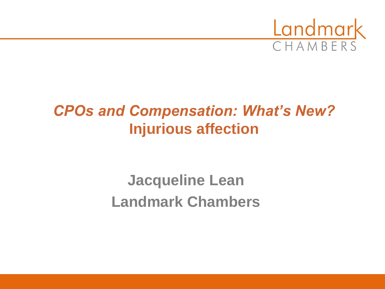

## *CPOs and Compensation: What's New?* **Injurious affection**

**Jacqueline Lean Landmark Chambers**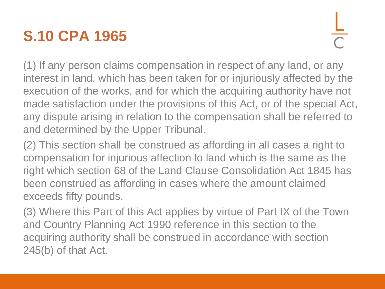# **S.10 CPA 1965**

(1) If any person claims compensation in respect of any land, or any interest in land, which has been taken for or injuriously affected by the execution of the works, and for which the acquiring authority have not made satisfaction under the provisions of this Act, or of the special Act, any dispute arising in relation to the compensation shall be referred to and determined by the Upper Tribunal.

(2) This section shall be construed as affording in all cases a right to compensation for injurious affection to land which is the same as the right which section 68 of the Land Clause Consolidation Act 1845 has been construed as affording in cases where the amount claimed exceeds fifty pounds.

(3) Where this Part of this Act applies by virtue of Part IX of the Town and Country Planning Act 1990 reference in this section to the acquiring authority shall be construed in accordance with section 245(b) of that Act.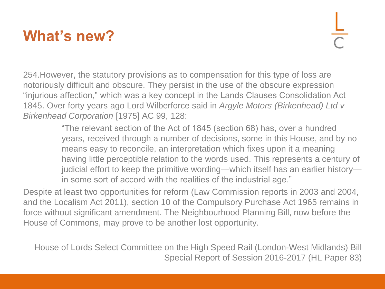## **What's new?**

254.However, the statutory provisions as to compensation for this type of loss are notoriously difficult and obscure. They persist in the use of the obscure expression "injurious affection," which was a key concept in the Lands Clauses Consolidation Act 1845. Over forty years ago Lord Wilberforce said in *Argyle Motors (Birkenhead) Ltd v Birkenhead Corporation* [1975] AC 99, 128:

> "The relevant section of the Act of 1845 (section 68) has, over a hundred years, received through a number of decisions, some in this House, and by no means easy to reconcile, an interpretation which fixes upon it a meaning having little perceptible relation to the words used. This represents a century of judicial effort to keep the primitive wording—which itself has an earlier history in some sort of accord with the realities of the industrial age."

Despite at least two opportunities for reform (Law Commission reports in 2003 and 2004, and the Localism Act 2011), section 10 of the Compulsory Purchase Act 1965 remains in force without significant amendment. The Neighbourhood Planning Bill, now before the House of Commons, may prove to be another lost opportunity.

House of Lords Select Committee on the High Speed Rail (London-West Midlands) Bill Special Report of Session 2016-2017 (HL Paper 83)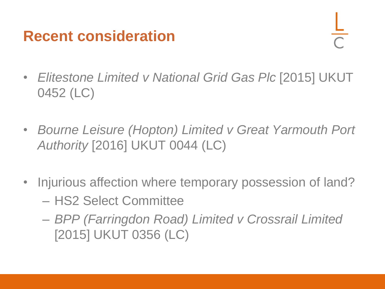#### **Recent consideration**

- *Elitestone Limited v National Grid Gas Plc* [2015] UKUT 0452 (LC)
- *Bourne Leisure (Hopton) Limited v Great Yarmouth Port Authority* [2016] UKUT 0044 (LC)
- Injurious affection where temporary possession of land? – HS2 Select Committee
	- *BPP (Farringdon Road) Limited v Crossrail Limited*  [2015] UKUT 0356 (LC)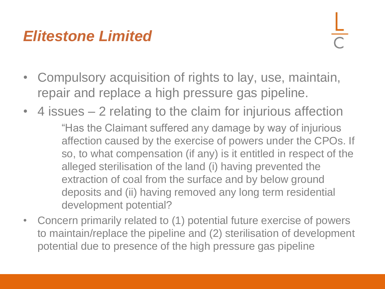### *Elitestone Limited*

- Compulsory acquisition of rights to lay, use, maintain, repair and replace a high pressure gas pipeline.
- 4 issues 2 relating to the claim for injurious affection "Has the Claimant suffered any damage by way of injurious affection caused by the exercise of powers under the CPOs. If so, to what compensation (if any) is it entitled in respect of the alleged sterilisation of the land (i) having prevented the extraction of coal from the surface and by below ground deposits and (ii) having removed any long term residential development potential?
- Concern primarily related to (1) potential future exercise of powers to maintain/replace the pipeline and (2) sterilisation of development potential due to presence of the high pressure gas pipeline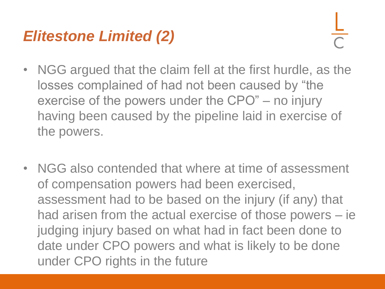## *Elitestone Limited (2)*

- NGG argued that the claim fell at the first hurdle, as the losses complained of had not been caused by "the exercise of the powers under the CPO" – no injury having been caused by the pipeline laid in exercise of the powers.
- NGG also contended that where at time of assessment of compensation powers had been exercised, assessment had to be based on the injury (if any) that had arisen from the actual exercise of those powers – ie judging injury based on what had in fact been done to date under CPO powers and what is likely to be done under CPO rights in the future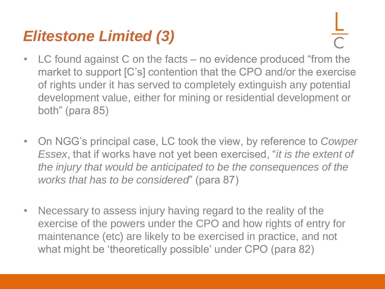### *Elitestone Limited (3)*

- LC found against C on the facts no evidence produced "from the market to support [C's] contention that the CPO and/or the exercise of rights under it has served to completely extinguish any potential development value, either for mining or residential development or both" (para 85)
- On NGG's principal case, LC took the view, by reference to *Cowper Essex*, that if works have not yet been exercised, "*it is the extent of the injury that would be anticipated to be the consequences of the works that has to be considered*" (para 87)
- Necessary to assess injury having regard to the reality of the exercise of the powers under the CPO and how rights of entry for maintenance (etc) are likely to be exercised in practice, and not what might be 'theoretically possible' under CPO (para 82)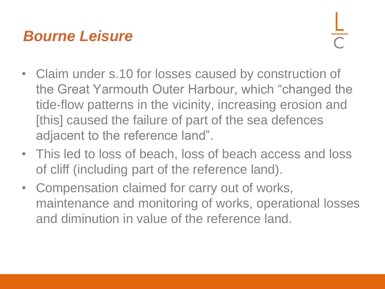### *Bourne Leisure*

- Claim under s.10 for losses caused by construction of the Great Yarmouth Outer Harbour, which "changed the tide-flow patterns in the vicinity, increasing erosion and [this] caused the failure of part of the sea defences adjacent to the reference land".
- This led to loss of beach, loss of beach access and loss of cliff (including part of the reference land).
- Compensation claimed for carry out of works, maintenance and monitoring of works, operational losses and diminution in value of the reference land.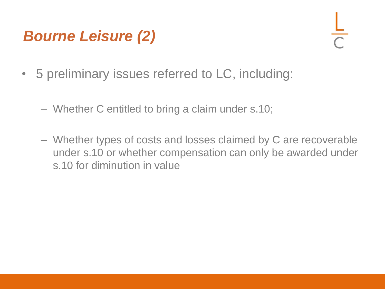# *Bourne Leisure (2)*

- 5 preliminary issues referred to LC, including:
	- Whether C entitled to bring a claim under s.10;
	- Whether types of costs and losses claimed by C are recoverable under s.10 or whether compensation can only be awarded under s.10 for diminution in value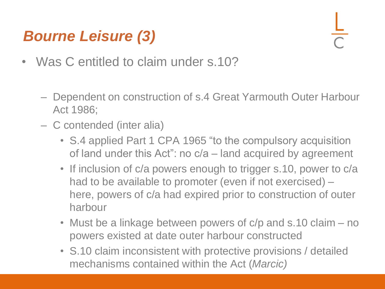# *Bourne Leisure (3)*

- Was C entitled to claim under s.10?
	- Dependent on construction of s.4 Great Yarmouth Outer Harbour Act 1986;
	- C contended (inter alia)
		- S.4 applied Part 1 CPA 1965 "to the compulsory acquisition of land under this Act": no c/a – land acquired by agreement
		- If inclusion of c/a powers enough to trigger s.10, power to c/a had to be available to promoter (even if not exercised) – here, powers of c/a had expired prior to construction of outer harbour
		- Must be a linkage between powers of c/p and s.10 claim no powers existed at date outer harbour constructed
		- S.10 claim inconsistent with protective provisions / detailed mechanisms contained within the Act (*Marcic)*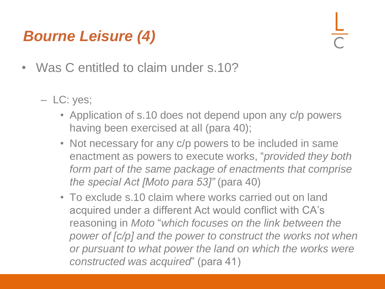# *Bourne Leisure (4)*

- Was C entitled to claim under s.10?
	- LC: yes;
		- Application of s.10 does not depend upon any c/p powers having been exercised at all (para 40);
		- Not necessary for any c/p powers to be included in same enactment as powers to execute works, "*provided they both form part of the same package of enactments that comprise the special Act [Moto para 53]"* (para 40)
		- To exclude s.10 claim where works carried out on land acquired under a different Act would conflict with CA's reasoning in *Moto* "*which focuses on the link between the power of [c/p] and the power to construct the works not when or pursuant to what power the land on which the works were constructed was acquired*" (para 41)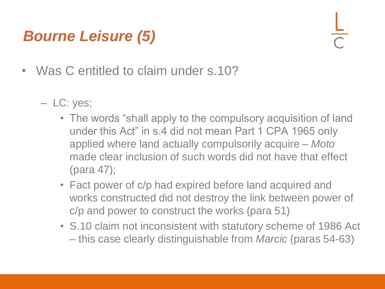# *Bourne Leisure (5)*

- Was C entitled to claim under s.10?
	- LC: yes;
		- The words "shall apply to the compulsory acquisition of land under this Act" in s.4 did not mean Part 1 CPA 1965 only applied where land actually compulsorily acquire – *Moto*  made clear inclusion of such words did not have that effect (para 47);
		- Fact power of c/p had expired before land acquired and works constructed did not destroy the link between power of c/p and power to construct the works (para 51)
		- S.10 claim not inconsistent with statutory scheme of 1986 Act – this case clearly distinguishable from *Marcic* (paras 54-63)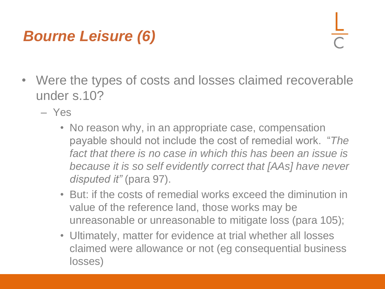# *Bourne Leisure (6)*

- Were the types of costs and losses claimed recoverable under s.10?
	- Yes
		- No reason why, in an appropriate case, compensation payable should not include the cost of remedial work. "*The*  fact that there is no case in which this has been an issue is *because it is so self evidently correct that [AAs] have never disputed it"* (para 97).
		- But: if the costs of remedial works exceed the diminution in value of the reference land, those works may be unreasonable or unreasonable to mitigate loss (para 105);
		- Ultimately, matter for evidence at trial whether all losses claimed were allowance or not (eg consequential business losses)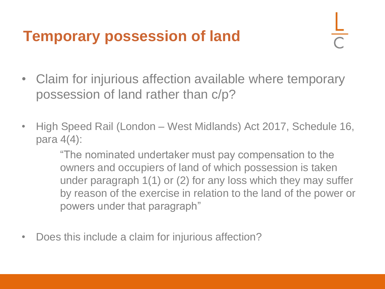## **Temporary possession of land**

- Claim for injurious affection available where temporary possession of land rather than c/p?
- High Speed Rail (London West Midlands) Act 2017, Schedule 16, para 4(4):

"The nominated undertaker must pay compensation to the owners and occupiers of land of which possession is taken under paragraph 1(1) or (2) for any loss which they may suffer by reason of the exercise in relation to the land of the power or powers under that paragraph"

• Does this include a claim for injurious affection?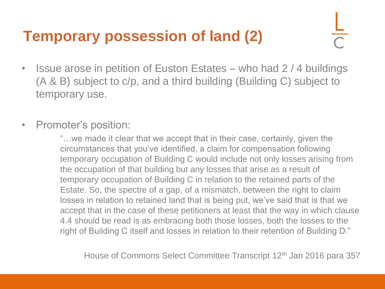# **Temporary possession of land (2)**

- Issue arose in petition of Euston Estates who had 2 / 4 buildings (A & B) subject to c/p, and a third building (Building C) subject to temporary use.
- Promoter's position:

"…we made it clear that we accept that in their case, certainly, given the circumstances that you've identified, a claim for compensation following temporary occupation of Building C would include not only losses arising from the occupation of that building but any losses that arise as a result of temporary occupation of Building C in relation to the retained parts of the Estate. So, the spectre of a gap, of a mismatch, between the right to claim losses in relation to retained land that is being put, we've said that is that we accept that in the case of these petitioners at least that the way in which clause 4.4 should be read is as embracing both those losses, both the losses to the right of Building C itself and losses in relation to their retention of Building D."

House of Commons Select Committee Transcript 12<sup>th</sup> Jan 2016 para 357